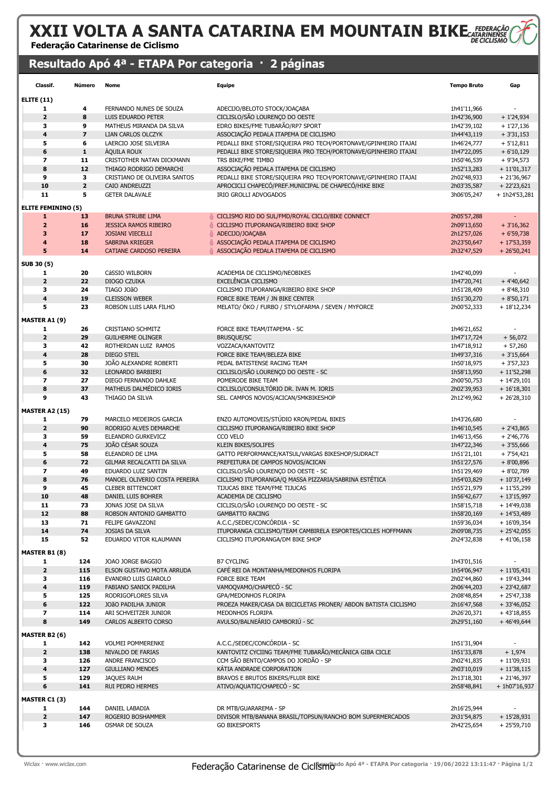# XXII VOLTA A SANTA CATARINA EM MOUNTAIN BIKE

Federação Catarinense de Ciclismo

### Resultado Apó 4ª - ETAPA Por categoria · 2 páginas

| Classif.                  | Número                  | Nome                                                 | <b>Equipe</b>                                                            | <b>Tempo Bruto</b>         | Gap                          |
|---------------------------|-------------------------|------------------------------------------------------|--------------------------------------------------------------------------|----------------------------|------------------------------|
| <b>ELITE (11)</b>         |                         |                                                      |                                                                          |                            |                              |
| 1                         | 4                       | FERNANDO NUNES DE SOUZA                              | ADECIJO/BELOTO STOCK/JOAÇABA                                             | 1h41'11,966                |                              |
| $\mathbf{2}$              | 8                       | LUIS EDUARDO PETER                                   | CICLISLO/SÃO LOURENÇO DO OESTE                                           | 1h42'36,900                | $+1'24,934$                  |
| з                         | 9                       | MATHEUS MIRANDA DA SILVA                             | EDRO BIKES/FME TUBARÃO/RP7 SPORT                                         | 1h42'39,102                | $+1'27,136$                  |
| 4                         | $\overline{\mathbf{z}}$ | LIAN CARLOS OLCZYK                                   | ASSOCIAÇÃO PEDALA ITAPEMA DE CICLISMO                                    | 1h44'43,119                | $+3'31,153$                  |
| 5                         | 6                       | LAERCIO JOSE SILVEIRA                                | PEDALLI BIKE STORE/SIQUEIRA PRO TECH/PORTONAVE/GPINHEIRO ITAJAI          | 1h46'24,777                | $+5'12,811$                  |
| 6<br>7                    | $\mathbf{1}$            | <b>AQUILA ROUX</b>                                   | PEDALLI BIKE STORE/SIQUEIRA PRO TECH/PORTONAVE/GPINHEIRO ITAJAI          | 1h47'22,095                | $+6'10,129$                  |
| 8                         | 11<br>12                | CRISTOTHER NATAN DICKMANN<br>THIAGO RODRIGO DEMARCHI | TRS BIKE/FME TIMBO<br>ASSOCIAÇÃO PEDALA ITAPEMA DE CICLISMO              | 1h50'46,539<br>1h52'13,283 | $+9'34,573$<br>$+11'01,317$  |
| 9                         | 3                       | CRISTIANO DE OLIVEIRA SANTOS                         | PEDALLI BIKE STORE/SIQUEIRA PRO TECH/PORTONAVE/GPINHEIRO ITAJAI          | 2h02'48,933                | $+21'36,967$                 |
| 10                        | $\overline{\mathbf{2}}$ | CAIO ANDREUZZI                                       | APROCICLI CHAPECO/PREF.MUNICIPAL DE CHAPECO/HIKE BIKE                    | 2h03'35,587                | $+22'23,621$                 |
| 11                        | 5                       | <b>GETER DALAVALE</b>                                | IRIO GROLLI ADVOGADOS                                                    | 3h06'05,247                | $+ 1h24'53,281$              |
| <b>ELITE FEMININO (5)</b> |                         |                                                      |                                                                          |                            |                              |
| $\mathbf{1}$              | 13                      | <b>BRUNA STRUBE LIMA</b>                             | CICLISMO RIO DO SUL/FMD/ROYAL CICLO/BIKE CONNECT                         | 2h05'57,288                |                              |
| $\overline{2}$            | 16                      | <b>JESSICA RAMOS RIBEIRO</b>                         | CICLISMO ITUPORANGA/RIBEIRO BIKE SHOP                                    | 2h09'13,650                | $+3'16,362$                  |
| 3                         | 17                      | <b>JOSIANI VIECELLI</b>                              | ADECIJO/JOAÇABA                                                          | 2h12'57,026                | $+6'59,738$                  |
| 4                         | 18                      | SABRINA KRIEGER                                      | ASSOCIAÇÃO PEDALA ITAPEMA DE CICLISMO                                    | 2h23'50,647                | $+17'53,359$                 |
| 5                         | 14                      | CATIANE CARDOSO PEREIRA                              | ASSOCIAÇÃO PEDALA ITAPEMA DE CICLISMO                                    | 2h32'47,529                | $+26'50,241$                 |
| SUB 30 (5)                |                         |                                                      |                                                                          |                            |                              |
| 1                         | 20                      | CáSSIO WILBORN                                       | ACADEMIA DE CICLISMO/NEOBIKES                                            | 1h42'40,099                |                              |
| $\mathbf{z}$              | 22                      | DIOGO CZUIKA                                         | EXCELÊNCIA CICLISMO                                                      | 1h47'20,741                | $+4'40,642$                  |
| 3                         | 24                      | TIAGO JOãO                                           | CICLISMO ITUPORANGA/RIBEIRO BIKE SHOP                                    | 1h51'28,409                | $+8'48,310$                  |
| 4                         | 19                      | <b>CLEISSON WEBER</b>                                | FORCE BIKE TEAM / JN BIKE CENTER                                         | 1h51'30,270                | $+8'50,171$                  |
| 5                         | 23                      | ROBSON LUIS LARA FILHO                               | MELATO/ ÖKO / FURBO / STYLOFARMA / SEVEN / MYFORCE                       | 2h00'52,333                | $+18'12,234$                 |
| <b>MASTER A1 (9)</b>      |                         |                                                      |                                                                          |                            |                              |
| 1                         | 26                      | CRISTIANO SCHMITZ                                    | FORCE BIKE TEAM/ITAPEMA - SC                                             | 1h46'21,652                |                              |
| $\mathbf{2}$              | 29                      | <b>GUILHERME OLINGER</b>                             | <b>BRUSQUE/SC</b>                                                        | 1h47'17,724                | $+56,072$                    |
| 3                         | 42                      | ROTHERDAN LUIZ RAMOS                                 | VOZZACA/KANTOVITZ                                                        | 1h47'18,912                | $+57,260$                    |
| 4<br>5                    | 28<br>30                | DIEGO STEIL<br>JOÃO ALEXANDRE ROBERTI                | FORCE BIKE TEAM/BELEZA BIKE<br>PEDAL BATISTENSE RACING TEAM              | 1h49'37,316<br>1h50'18,975 | $+3'15,664$                  |
| 6                         | 32                      | LEONARDO BARBIERI                                    | CICLISLO/SÃO LOURENÇO DO OESTE - SC                                      | 1h58'13,950                | $+3'57,323$<br>$+11'52,298$  |
| 7                         | 27                      | DIEGO FERNANDO DAHLKE                                | POMERODE BIKE TEAM                                                       | 2h00'50,753                | $+ 14'29,101$                |
| 8                         | 37                      | MATHEUS DALMÉDICO IORIS                              | CICLISLO/CONSULTÓRIO DR. IVAN M. IORIS                                   | 2h02'39,953                | $+16'18,301$                 |
| 9                         | 43                      | THIAGO DA SILVA                                      | SEL. CAMPOS NOVOS/ACICAN/SMKBIKESHOP                                     | 2h12'49,962                | $+26'28,310$                 |
| <b>MASTER A2 (15)</b>     |                         |                                                      |                                                                          |                            |                              |
| 1                         | 79                      | MARCELO MEDEIROS GARCIA                              | ENZO AUTOMOVEIS/STÚDIO KRON/PEDAL BIKES                                  | 1h43'26,680                |                              |
| $\mathbf{2}$              | 90                      | RODRIGO ALVES DEMARCHE                               | CICLISMO ITUPORANGA/RIBEIRO BIKE SHOP                                    | 1h46'10,545                | $+2'43,865$                  |
| 3                         | 59                      | ELEANDRO GURKEVICZ                                   | CCO VELO                                                                 | 1h46'13,456                | $+2'46,776$                  |
| 4                         | 75                      | JOÃO CÉSAR SOUZA                                     | KLEIN BIKES/SOLIFES                                                      | 1h47'22,346                | $+3'55,666$                  |
| 5                         | 58                      | ELEANDRO DE LIMA                                     | GATTO PERFORMANCE/KATSUL/VARGAS BIKESHOP/SUDRACT                         | 1h51'21,101                | $+7'54,421$                  |
| 6<br>7                    | 72<br>49                | GILMAR RECALCATTI DA SILVA                           | PREFEITURA DE CAMPOS NOVOS/ACICAN<br>CICLISLO/SÃO LOURENÇO DO OESTE - SC | 1h51'27,576                | $+8'00,896$                  |
| 8                         | 76                      | EDUARDO LUIZ SANTIN<br>MANOEL OLIVERIO COSTA PEREIRA | CICLISMO ITUPORANGA/Q MASSA PIZZARIA/SABRINA ESTÉTICA                    | 1h51'29,469<br>1h54'03,829 | $+8'02,789$<br>$+10'37,149$  |
| 9                         | 45                      | <b>CLEBER BITTENCORT</b>                             | TIJUCAS BIKE TEAM/FME TIJUCAS                                            | 1h55'21,979                | $+11'55,299$                 |
| 10                        | 48                      | DANIEL LUIS BOHRER                                   | ACADEMIA DE CICLISMO                                                     | 1h56'42,677                | $+13'15,997$                 |
| 11                        | 73                      | JONAS JOSE DA SILVA                                  | CICLISLO/SÃO LOURENÇO DO OESTE - SC                                      | 1h58'15,718                | $+ 14'49,038$                |
| 12                        | 88                      | ROBSON ANTONIO GAMBATTO                              | <b>GAMBATTO RACING</b>                                                   | 1h58'20,169                | $+ 14'53,489$                |
| 13                        | 71                      | FELIPE GAVAZZONI                                     | A.C.C./SEDEC/CONCÓRDIA - SC                                              | 1h59'36,034                | $+16'09,354$                 |
| 14                        | 74                      | JOSIAS DA SILVA                                      | ITUPORANGA CICLISMO/TEAM CAMBIRELA ESPORTES/CICLES HOFFMANN              | 2h09'08,735                | $+ 25'42,055$                |
| 15                        | 52                      | EDUARDO VITOR KLAUMANN                               | CICLISMO ITUPORANGA/DM BIKE SHOP                                         | 2h24'32,838                | $+41'06,158$                 |
| <b>MASTER B1 (8)</b>      |                         |                                                      |                                                                          |                            |                              |
| 1                         | 124                     | JOAO JORGE BAGGIO                                    | <b>B7 CYCLING</b>                                                        | 1h43'01,516                |                              |
| $\mathbf{2}$              | 115                     | ELSON GUSTAVO MOTA ARRUDA                            | CAFÉ REI DA MONTANHA/MEDONHOS FLORIPA                                    | 1h54'06,947                | $+11'05,431$                 |
| 3<br>4                    | 116<br>119              | EVANDRO LUIS GIAROLO<br>FABIANO SANICK PADILHA       | FORCE BIKE TEAM<br>VAMOQVAMO/CHAPECÓ - SC                                | 2h02'44,860<br>2h06'44,203 | + 19'43,344<br>$+ 23'42,687$ |
| 5                         | 125                     | RODRIGOFLORES SILVA                                  | GPA/MEDONHOS FLORIPA                                                     | 2h08'48,854                | $+25'47,338$                 |
| 6                         | 122                     | JOÃO PADILHA JUNIOR                                  | PROEZA MAKER/CASA DA BICICLETAS PRONER/ ABDON BATISTA CICLISMO           | 2h16'47,568                | $+33'46,052$                 |
| 7                         | 114                     | ARI SCHVEITZER JUNIOR                                | MEDONHOS FLORIPA                                                         | 2h26'20,371                | $+43'18,855$                 |
| 8                         | 149                     | CARLOS ALBERTO CORSO                                 | AVULSO/BALNEÁRIO CAMBORIÚ - SC                                           | 2h29'51,160                | $+46'49,644$                 |
| <b>MASTER B2 (6)</b>      |                         |                                                      |                                                                          |                            |                              |
| 1                         | 142                     | <b>VOLMEI POMMERENKE</b>                             | A.C.C./SEDEC/CONCÓRDIA - SC                                              | 1h51'31,904                |                              |
| 2                         | 138                     | NIVALDO DE FARIAS                                    | KANTOVITZ CYCIING TEAM/FME TUBARÃO/MECÂNICA GIBA CICLE                   | 1h51'33,878                | $+1,974$                     |
| 3                         | 126                     | ANDRE FRANCISCO                                      | CCM SÃO BENTO/CAMPOS DO JORDÃO - SP                                      | 2h02'41,835                | $+11'09,931$                 |
| 4                         | 127                     | <b>GIULLIANO MENDES</b>                              | KÁTIA ANDRADE CORPORATION                                                | 2h03'10,019                | $+11'38,115$                 |
| 5                         | 129                     | <b>JAQUES RAUH</b>                                   | BRAVOS E BRUTOS BIKERS/FLUIR BIKE                                        | 2h13'18,301                | $+21'46,397$                 |
| 6                         | 141                     | RUI PEDRO HERMES                                     | ATIVO/AQUATIC/CHAPECÓ - SC                                               | 2h58'48,841                | $+ 1h07'16,937$              |
| <b>MASTER C1 (3)</b>      |                         |                                                      |                                                                          |                            |                              |
| 1                         | 144                     | DANIEL LABADIA                                       | DR MTB/GUARAREMA - SP                                                    | 2h16'25,944                |                              |
| $\mathbf{2}$              | 147                     | ROGERIO BOSHAMMER                                    | DIVISOR MTB/BANANA BRASIL/TOPSUN/RANCHO BOM SUPERMERCADOS                | 2h31'54,875                | $+15'28,931$                 |
| з                         | 146                     | OSMAR DE SOUZA                                       | <b>GO BIKESPORTS</b>                                                     | 2h42'25,654                | $+25'59,710$                 |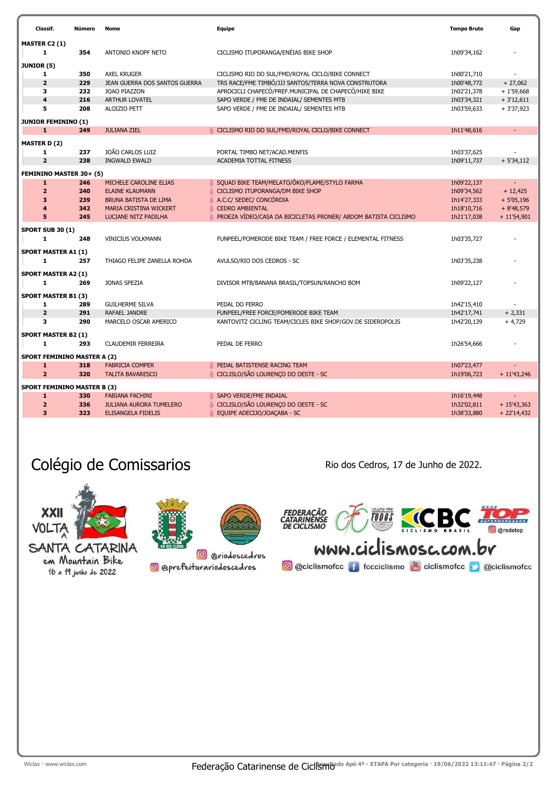| Classif.                           | Número     | Nome                                    | Equipe                                                                                                   | <b>Tempo Bruto</b>         | Gap                        |
|------------------------------------|------------|-----------------------------------------|----------------------------------------------------------------------------------------------------------|----------------------------|----------------------------|
| <b>MASTER C2 (1)</b>               |            |                                         |                                                                                                          |                            |                            |
| 1                                  | 354        | ANTONIO KNOPF NETO                      | CICLISMO ITUPORANGA/ENÉIAS BIKE SHOP                                                                     | 1h09'34,162                |                            |
|                                    |            |                                         |                                                                                                          |                            |                            |
| <b>JUNIOR (5)</b>                  |            |                                         |                                                                                                          |                            |                            |
| 1<br>$\overline{2}$                | 350<br>229 | <b>AXEL KRUGER</b>                      | CICLISMO RIO DO SUL/FMD/ROYAL CICLO/BIKE CONNECT<br>TRS RACE/FME TIMBÓ/JJJ SANTOS/TERRA NOVA CONSTRUTORA | 1h00'21,710                |                            |
|                                    |            | JEAN GUERRA DOS SANTOS GUERRA           | APROCICLI CHAPECÓ/PREF.MUNICIPAL DE CHAPECÓ/HIKE BIKE                                                    | 1h00'48,772                | $+27,062$                  |
| з                                  | 232        | JOAO PIAZZON                            |                                                                                                          | 1h02'21,378                | $+1'59,668$                |
| $\overline{\bf 4}$<br>5            | 216<br>208 | ARTHUR LOVATEL<br>ALOIZIO PETT          | SAPO VERDE / FME DE INDAIAL/ SEMENTES MTB<br>SAPO VERDE / FME DE INDAIAL/ SEMENTES MTB                   | 1h03'34,321<br>1h03'59,633 | $+3'12,611$<br>$+3'37,923$ |
|                                    |            |                                         |                                                                                                          |                            |                            |
| <b>JUNIOR FEMININO (1)</b>         |            |                                         |                                                                                                          |                            |                            |
| $\mathbf{1}$                       | 249        | <b>JULIANA ZIEL</b>                     | CICLISMO RIO DO SUL/FMD/ROYAL CICLO/BIKE CONNECT                                                         | 1h11'48,616                |                            |
| <b>MASTER D (2)</b>                |            |                                         |                                                                                                          |                            |                            |
| 1                                  | 237        | JOÃO CARLOS LUIZ                        | PORTAL TIMBO NET/ACAD.MENFIS                                                                             | 1h03'37,625                |                            |
| $\overline{2}$                     | 238        | <b>INGWALD EWALD</b>                    | ACADEMIA TOTTAL FITNESS                                                                                  | 1h09'11,737                | $+ 5'34,112$               |
|                                    |            |                                         |                                                                                                          |                            |                            |
| FEMININO MASTER 30+ (5)            |            |                                         |                                                                                                          |                            |                            |
| 1                                  | 246        | MICHELE CAROLINE ELIAS                  | SQUAD BIKE TEAM/MELATO/ÔKO/FLAME/STYLO FARMA                                                             | 1h09'22,137                |                            |
| $\overline{\mathbf{2}}$            | 240        | <b>ELAINE KLAUMANN</b>                  | CICLISMO ITUPORANGA/DM BIKE SHOP                                                                         | 1h09'34,562                | $+12,425$                  |
| 3                                  | 239        | <b>BRUNA BATISTA DE LIMA</b>            | A.C.C/ SEDEC/ CONCÓRDIA                                                                                  | 1h14'27,333                | $+5'05,196$                |
| 4                                  | 342        | <b>MARIA CRISTINA WICKERT</b>           | <b>CEDRO AMBIENTAL</b>                                                                                   | 1h18'10,716                | $+8'48,579$                |
| 5                                  | 245        | LUCIANE NITZ PADILHA                    | PROEZA VÍDEO/CASA DA BICICLETAS PRONER/ ABDOM BATISTA CICLISMO                                           | 1h21'17,038                | $+ 11'54,901$              |
| <b>SPORT SUB 30 (1)</b>            |            |                                         |                                                                                                          |                            |                            |
| $\mathbf{1}$                       | 248        | <b>VINICIUS VOLKMANN</b>                | FUNPEEL/POMERODE BIKE TEAM / FREE FORCE / ELEMENTAL FITNESS                                              | 1h03'35,727                |                            |
|                                    |            |                                         |                                                                                                          |                            |                            |
| <b>SPORT MASTER A1 (1)</b>         |            |                                         |                                                                                                          |                            |                            |
| 1                                  | 257        | THIAGO FELIPE ZANELLA ROHDA             | AVULSO/RIO DOS CEDROS - SC                                                                               | 1h03'35,238                |                            |
| <b>SPORT MASTER A2 (1)</b>         |            |                                         |                                                                                                          |                            |                            |
| 1                                  | 269        | JONAS SPEZIA                            | DIVISOR MTB/BANANA BRASIL/TOPSUN/RANCHO BOM                                                              | 1h09'22,127                |                            |
| <b>SPORT MASTER B1 (3)</b>         |            |                                         |                                                                                                          |                            |                            |
| 1                                  | 289        |                                         | PEDAL DO FERRO                                                                                           |                            |                            |
| $\overline{2}$                     | 291        | <b>GUILHERME SILVA</b><br>RAFAEL JANDRE | FUNPEEL/FREE FORCE/POMERODE BIKE TEAM                                                                    | 1h42'15,410<br>1h42'17,741 | $+2,331$                   |
| 3                                  | 290        | MARCELO OSCAR AMERICO                   | KANTOVITZ CICLING TEAM/CICLES BIKE SHOP/GOV.DE SIDEROPOLIS                                               | 1h42'20,139                | $+4,729$                   |
|                                    |            |                                         |                                                                                                          |                            |                            |
| <b>SPORT MASTER B2 (1)</b>         |            |                                         |                                                                                                          |                            |                            |
| 1                                  | 293        | <b>CLAUDEMIR FERREIRA</b>               | PEDAL DE FERRO                                                                                           | 1h26'54,666                |                            |
| <b>SPORT FEMININO MASTER A (2)</b> |            |                                         |                                                                                                          |                            |                            |
| $\mathbf{1}$                       | 318        | <b>FABRICIA COMPER</b>                  | PEDAL BATISTENSE RACING TEAM                                                                             | 1h07'23,477                |                            |
| $\overline{2}$                     | 320        | <b>TALITA BAVARESCO</b>                 | CICLISLO/SÃO LOURENÇO DO OESTE - SC                                                                      | 1h19'06,723                | $+ 11'43,246$              |
|                                    |            |                                         |                                                                                                          |                            |                            |
| <b>SPORT FEMININO MASTER B (3)</b> |            |                                         |                                                                                                          |                            |                            |
| 1                                  | 330        | <b>FABIANA FACHINI</b>                  | SAPO VERDE/FME INDAIAL                                                                                   | 1h16'19,448                |                            |
| $\overline{2}$                     | 336        | <b>JULIANA AURORA TUMELERO</b>          | CICLISLO/SÃO LOURENÇO DO OESTE - SC                                                                      | 1h32'02,811                | $+15'43,363$               |
| 3                                  | 323        | <b>ELISANGELA FIDELIS</b>               | EQUIPE ADECIJO/JOAÇABA - SC                                                                              | 1h38'33,880                | $+ 22'14,432$              |

## Colégio de Comissarios **Rio de Comissarios** Rio dos Cedros, 17 de Junho de 2022.



em Mountain Bike 16 a 19 junho de 2022



<sup>o</sup> @riodoscedros

**@** @prefeiturariodoscedros

TOUS CCBC THE FEDERAÇÃO<br>CATARINÊNSE<br>DE CICLISMO  $rac{1}{\sqrt{1-\frac{1}{2}}}$ **O** @redetop WWW.ciclismosc.com.br

**O** @ciclismofcc **f** fccciclismo **de ciclismofcc D** @ciclismofcc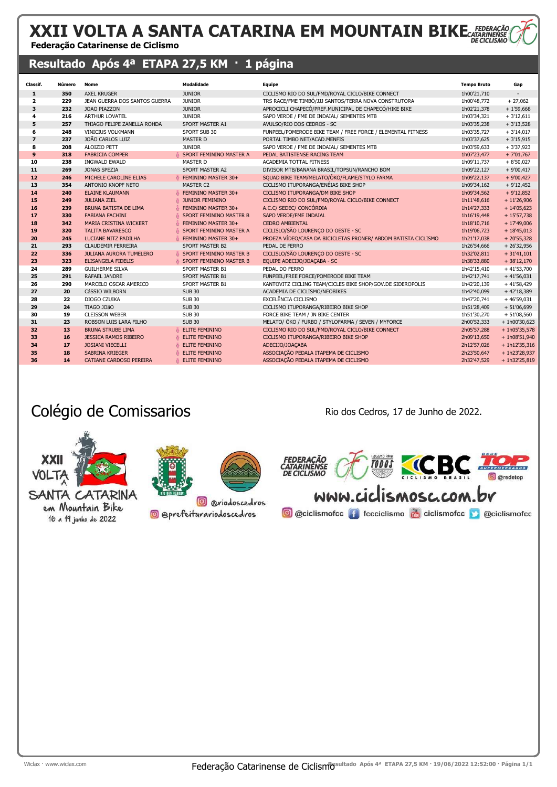#### XXII VOLTA A SANTA CATARINA EM MOUNTAIN BIKE<sub>CATARIN</sub> Federação Catarinense de Ciclismo

### Resultado Após 4ª ETAPA 27,5 KM · 1 página

| Classif.       | Número | Nome                           | <b>Modalidade</b>           | <b>Equipe</b>                                                  | <b>Tempo Bruto</b> | Gap             |
|----------------|--------|--------------------------------|-----------------------------|----------------------------------------------------------------|--------------------|-----------------|
| 1              | 350    | <b>AXEL KRUGER</b>             | <b>JUNIOR</b>               | CICLISMO RIO DO SUL/FMD/ROYAL CICLO/BIKE CONNECT               | 1h00'21,710        |                 |
| $\overline{2}$ | 229    | JEAN GUERRA DOS SANTOS GUERRA  | <b>JUNIOR</b>               | TRS RACE/FME TIMBÓ/JJJ SANTOS/TERRA NOVA CONSTRUTORA           | 1h00'48,772        | $+27,062$       |
| 3              | 232    | <b>JOAO PIAZZON</b>            | <b>JUNIOR</b>               | APROCICLI CHAPECÓ/PREF.MUNICIPAL DE CHAPECÓ/HIKE BIKE          | 1h02'21,378        | $+1'59,668$     |
| 4              | 216    | <b>ARTHUR LOVATEL</b>          | <b>JUNIOR</b>               | SAPO VERDE / FME DE INDAIAL/ SEMENTES MTB                      | 1h03'34,321        | $+3'12,611$     |
| 5              | 257    | THIAGO FELIPE ZANELLA ROHDA    | SPORT MASTER A1             | AVULSO/RIO DOS CEDROS - SC                                     | 1h03'35,238        | $+3'13,528$     |
| 6              | 248    | <b>VINICIUS VOLKMANN</b>       | SPORT SUB 30                | FUNPEEL/POMERODE BIKE TEAM / FREE FORCE / ELEMENTAL FITNESS    | 1h03'35,727        | $+3'14,017$     |
| $\overline{z}$ | 237    | <b>JOÃO CARLOS LUIZ</b>        | <b>MASTER D</b>             | PORTAL TIMBO NET/ACAD.MENFIS                                   | 1h03'37,625        | $+3'15,915$     |
| 8              | 208    | ALOIZIO PETT                   | <b>JUNIOR</b>               | SAPO VERDE / FME DE INDAIAL/ SEMENTES MTB                      | 1h03'59,633        | $+3'37,923$     |
| $\mathbf{9}$   | 318    | <b>FABRICIA COMPER</b>         | SPORT FEMININO MASTER A     | PEDAL BATISTENSE RACING TEAM                                   | 1h07'23,477        | $+7'01,767$     |
| 10             | 238    | <b>INGWALD EWALD</b>           | <b>MASTER D</b>             | <b>ACADEMIA TOTTAL FITNESS</b>                                 | 1h09'11,737        | $+8'50,027$     |
| 11             | 269    | JONAS SPEZIA                   | SPORT MASTER A2             | DIVISOR MTB/BANANA BRASIL/TOPSUN/RANCHO BOM                    | 1h09'22,127        | $+9'00,417$     |
| 12             | 246    | MICHELE CAROLINE ELIAS         | FEMININO MASTER 30+         | SQUAD BIKE TEAM/MELATO/ÔKO/FLAME/STYLO FARMA                   | 1h09'22,137        | $+9'00,427$     |
| 13             | 354    | ANTONIO KNOPF NETO             | <b>MASTER C2</b>            | CICLISMO ITUPORANGA/ENÉIAS BIKE SHOP                           | 1h09'34,162        | $+9'12,452$     |
| 14             | 240    | <b>ELAINE KLAUMANN</b>         | FEMININO MASTER 30+<br>春    | CICLISMO ITUPORANGA/DM BIKE SHOP                               | 1h09'34,562        | $+9'12,852$     |
| 15             | 249    | <b>JULIANA ZIEL</b>            | <b>JUNIOR FEMININO</b><br>林 | CICLISMO RIO DO SUL/FMD/ROYAL CICLO/BIKE CONNECT               | 1h11'48,616        | $+ 11'26,906$   |
| 16             | 239    | <b>BRUNA BATISTA DE LIMA</b>   | FEMININO MASTER 30+         | A.C.C/ SEDEC/ CONCÓRDIA                                        | 1h14'27,333        | $+ 14'05,623$   |
| 17             | 330    | <b>FABIANA FACHINI</b>         | SPORT FEMININO MASTER B     | SAPO VERDE/FME INDAIAL                                         | 1h16'19,448        | $+15'57,738$    |
| 18             | 342    | MARIA CRISTINA WICKERT         | FEMININO MASTER 30+         | <b>CEDRO AMBIENTAL</b>                                         | 1h18'10,716        | $+17'49,006$    |
| 19             | 320    | <b>TALITA BAVARESCO</b>        | SPORT FEMININO MASTER A     | CICLISLO/SÃO LOURENÇO DO OESTE - SC                            | 1h19'06,723        | $+18'45,013$    |
| 20             | 245    | <b>LUCIANE NITZ PADILHA</b>    | FEMININO MASTER 30+         | PROEZA VÍDEO/CASA DA BICICLETAS PRONER/ ABDOM BATISTA CICLISMO | 1h21'17,038        | $+20'55,328$    |
| 21             | 293    | <b>CLAUDEMIR FERREIRA</b>      | SPORT MASTER B2             | PEDAL DE FERRO                                                 | 1h26'54,666        | $+26'32,956$    |
| 22             | 336    | <b>JULIANA AURORA TUMELERO</b> | SPORT FEMININO MASTER B     | CICLISLO/SÃO LOURENÇO DO OESTE - SC                            | 1h32'02,811        | $+31'41,101$    |
| 23             | 323    | <b>ELISANGELA FIDELIS</b>      | SPORT FEMININO MASTER B     | EQUIPE ADECIJO/JOAÇABA - SC                                    | 1h38'33,880        | $+38'12,170$    |
| 24             | 289    | <b>GUILHERME SILVA</b>         | SPORT MASTER B1             | PEDAL DO FERRO                                                 | 1h42'15,410        | $+41'53,700$    |
| 25             | 291    | RAFAEL JANDRE                  | <b>SPORT MASTER B1</b>      | FUNPEEL/FREE FORCE/POMERODE BIKE TEAM                          | 1h42'17,741        | $+41'56,031$    |
| 26             | 290    | MARCELO OSCAR AMERICO          | SPORT MASTER B1             | KANTOVITZ CICLING TEAM/CICLES BIKE SHOP/GOV.DE SIDEROPOLIS     | 1h42'20,139        | $+41'58,429$    |
| 27             | 20     | CáSSIO WILBORN                 | <b>SUB 30</b>               | ACADEMIA DE CICLISMO/NEOBIKES                                  | 1h42'40,099        | $+42'18,389$    |
| 28             | 22     | DIOGO CZUIKA                   | <b>SUB 30</b>               | EXCELÊNCIA CICLISMO                                            | 1h47'20,741        | $+46'59,031$    |
| 29             | 24     | TIAGO JOãO                     | <b>SUB 30</b>               | CICLISMO ITUPORANGA/RIBEIRO BIKE SHOP                          | 1h51'28,409        | $+ 51'06,699$   |
| 30             | 19     | <b>CLEISSON WEBER</b>          | <b>SUB 30</b>               | FORCE BIKE TEAM / JN BIKE CENTER                               | 1h51'30,270        | $+ 51'08,560$   |
| 31             | 23     | ROBSON LUIS LARA FILHO         | <b>SUB 30</b>               | MELATO/ ÖKO / FURBO / STYLOFARMA / SEVEN / MYFORCE             | 2h00'52,333        | $+ 1h00'30,623$ |
| 32             | 13     | <b>BRUNA STRUBE LIMA</b>       | <b>ELITE FEMININO</b>       | CICLISMO RIO DO SUL/FMD/ROYAL CICLO/BIKE CONNECT               | 2h05'57,288        | $+ 1h05'35,578$ |
| 33             | 16     | <b>JESSICA RAMOS RIBEIRO</b>   | <b>ELITE FEMININO</b>       | CICLISMO ITUPORANGA/RIBEIRO BIKE SHOP                          | 2h09'13,650        | $+ 1h08'51,940$ |
| 34             | 17     | <b>JOSIANI VIECELLI</b>        | ELITE FEMININO              | ADECIJO/JOACABA                                                | 2h12'57,026        | $+ 1h12'35,316$ |
| 35             | 18     | SABRINA KRIEGER                | ELITE FEMININO              | ASSOCIAÇÃO PEDALA ITAPEMA DE CICLISMO                          | 2h23'50,647        | + 1h23'28,937   |
| 36             | 14     | <b>CATIANE CARDOSO PEREIRA</b> | ELITE FEMININO              | ASSOCIAÇÃO PEDALA ITAPEMA DE CICLISMO                          | 2h32'47,529        | $+ 1h32'25,819$ |

## Colégio de Comissarios en el partido de la Rio dos Cedros, 17 de Junho de 2022.







SANTA CATARINA em Mountain Bike 16 a 19 junho de 2022

<sup>2</sup> @riodoscedros **@** @prefeiturariodoscedros

**TODOS a**redetop WWW.ciclismosc.com.br **O** @ciclismofcc **O** fccciclismo **B** ciclismofcc **O** @ciclismofcc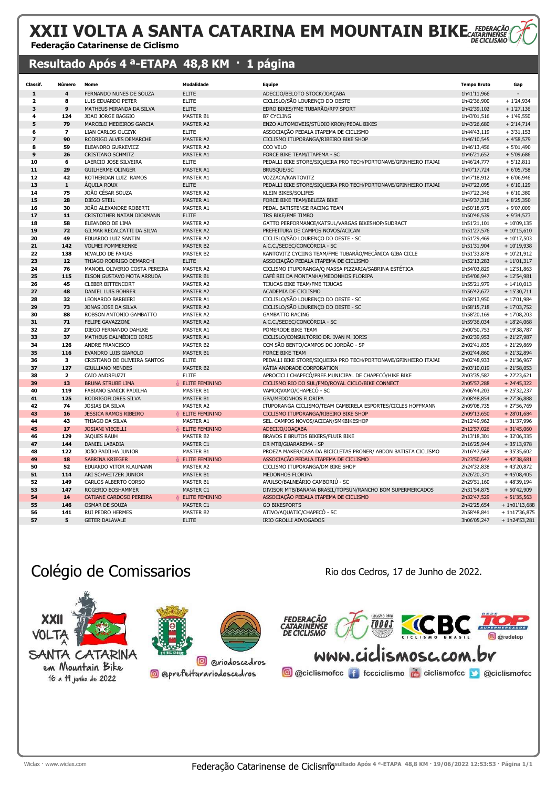#### XXII VOLTA A SANTA CATARINA EM MOUNTAIN BIKECATARRE Federação Catarinense de Ciclismo

#### Resultado Após 4<sup>a</sup>-ETAPA 48,8 KM · 1 página

| Classif.                 | Número         | Nome                          | <b>Modalidade</b>     | <b>Equipe</b>                                                   | <b>Tempo Bruto</b> | Gap             |
|--------------------------|----------------|-------------------------------|-----------------------|-----------------------------------------------------------------|--------------------|-----------------|
| $\mathbf{1}$             | 4              | FERNANDO NUNES DE SOUZA       | <b>ELITE</b>          | ADECIJO/BELOTO STOCK/JOACABA                                    | 1h41'11,966        |                 |
| $\overline{\mathbf{2}}$  | 8              | LUIS EDUARDO PETER            | <b>ELITE</b>          | CICLISLO/SÃO LOURENÇO DO OESTE                                  | 1h42'36,900        | $+1'24,934$     |
| 3                        | 9              | MATHEUS MIRANDA DA SILVA      | <b>ELITE</b>          | EDRO BIKES/FME TUBARÃO/RP7 SPORT                                | 1h42'39,102        | $+1'27,136$     |
| 4                        | 124            | JOAO JORGE BAGGIO             | <b>MASTER B1</b>      | <b>B7 CYCLING</b>                                               | 1h43'01,516        | $+1'49,550$     |
| 5                        | 79             | MARCELO MEDEIROS GARCIA       | <b>MASTER A2</b>      | ENZO AUTOMOVEIS/STÚDIO KRON/PEDAL BIKES                         | 1h43'26,680        | $+2'14,714$     |
| 6                        | $\overline{7}$ | <b>LIAN CARLOS OLCZYK</b>     | <b>ELITE</b>          | ASSOCIAÇÃO PEDALA ITAPEMA DE CICLISMO                           | 1h44'43,119        | $+3'31,153$     |
| $\overline{\phantom{a}}$ | 90             | RODRIGO ALVES DEMARCHE        | <b>MASTER A2</b>      | CICLISMO ITUPORANGA/RIBEIRO BIKE SHOP                           | 1h46'10,545        | $+4'58,579$     |
| 8                        | 59             | ELEANDRO GURKEVICZ            | MASTER A2             | CCO VELO                                                        | 1h46'13,456        | $+5'01,490$     |
| 9                        | 26             | <b>CRISTIANO SCHMITZ</b>      | <b>MASTER A1</b>      | FORCE BIKE TEAM/ITAPEMA - SC                                    | 1h46'21,652        | $+5'09,686$     |
| 10                       | 6              | LAERCIO JOSE SILVEIRA         | <b>ELITE</b>          | PEDALLI BIKE STORE/SIQUEIRA PRO TECH/PORTONAVE/GPINHEIRO ITAJAI | 1h46'24,777        | $+5'12,811$     |
| 11                       | 29             | <b>GUILHERME OLINGER</b>      | <b>MASTER A1</b>      | <b>BRUSQUE/SC</b>                                               | 1h47'17,724        | $+6'05,758$     |
| 12                       | 42             | ROTHERDAN LUIZ RAMOS          | MASTER A1             | VOZZACA/KANTOVITZ                                               | 1h47'18,912        | $+6'06,946$     |
| 13                       | ${\bf 1}$      | ÁQUILA ROUX                   | <b>ELITE</b>          | PEDALLI BIKE STORE/SIQUEIRA PRO TECH/PORTONAVE/GPINHEIRO ITAJAI | 1h47'22,095        | $+6'10,129$     |
| 14                       | 75             | JOÃO CÉSAR SOUZA              | <b>MASTER A2</b>      | <b>KLEIN BIKES/SOLIFES</b>                                      | 1h47'22,346        | $+6'10,380$     |
| 15                       | 28             | <b>DIEGO STEIL</b>            | <b>MASTER A1</b>      | FORCE BIKE TEAM/BELEZA BIKE                                     | 1h49'37,316        | $+8'25,350$     |
| 16                       | 30             | JOÃO ALEXANDRE ROBERTI        | MASTER A1             | PEDAL BATISTENSE RACING TEAM                                    | 1h50'18,975        | + 9'07,009      |
| 17                       | 11             | CRISTOTHER NATAN DICKMANN     | <b>ELITE</b>          | TRS BIKE/FME TIMBO                                              | 1h50'46,539        | $+9'34,573$     |
| 18                       | 58             | ELEANDRO DE LIMA              | <b>MASTER A2</b>      | GATTO PERFORMANCE/KATSUL/VARGAS BIKESHOP/SUDRACT                | 1h51'21,101        | $+10'09,135$    |
| 19                       | 72             | GILMAR RECALCATTI DA SILVA    | <b>MASTER A2</b>      | PREFEITURA DE CAMPOS NOVOS/ACICAN                               | 1h51'27,576        | $+10'15,610$    |
| 20                       | 49             | EDUARDO LUIZ SANTIN           | <b>MASTER A2</b>      | CICLISLO/SÃO LOURENÇO DO OESTE - SC                             | 1h51'29,469        | $+10'17,503$    |
| 21                       | 142            | <b>VOLMEI POMMERENKE</b>      | <b>MASTER B2</b>      | A.C.C./SEDEC/CONCÓRDIA - SC                                     | 1h51'31,904        | $+10'19,938$    |
| 22                       | 138            | NIVALDO DE FARIAS             | <b>MASTER B2</b>      | KANTOVITZ CYCIING TEAM/FME TUBARÃO/MECÂNICA GIBA CICLE          | 1h51'33,878        | $+10'21,912$    |
| 23                       | 12             | THIAGO RODRIGO DEMARCHI       | <b>ELITE</b>          | ASSOCIAÇÃO PEDALA ITAPEMA DE CICLISMO                           | 1h52'13,283        | $+11'01,317$    |
| 24                       | 76             | MANOEL OLIVERIO COSTA PEREIRA | <b>MASTER A2</b>      | CICLISMO ITUPORANGA/Q MASSA PIZZARIA/SABRINA ESTÉTICA           | 1h54'03,829        | $+12'51,863$    |
| 25                       | 115            | ELSON GUSTAVO MOTA ARRUDA     | <b>MASTER B1</b>      | CAFÉ REI DA MONTANHA/MEDONHOS FLORIPA                           | 1h54'06,947        | $+12'54,981$    |
| 26                       | 45             | <b>CLEBER BITTENCORT</b>      | <b>MASTER A2</b>      | TIJUCAS BIKE TEAM/FME TIJUCAS                                   | 1h55'21,979        | $+ 14'10,013$   |
| 27                       | 48             | DANIEL LUIS BOHRER            | <b>MASTER A2</b>      | ACADEMIA DE CICLISMO                                            | 1h56'42,677        | $+15'30,711$    |
| 28                       | 32             | LEONARDO BARBIERI             | <b>MASTER A1</b>      | CICLISLO/SÃO LOURENÇO DO OESTE - SC                             | 1h58'13,950        | $+17'01,984$    |
| 29                       | 73             | JONAS JOSE DA SILVA           | <b>MASTER A2</b>      | CICLISLO/SÃO LOURENÇO DO OESTE - SC                             | 1h58'15,718        | $+17'03,752$    |
| 30                       | 88             | ROBSON ANTONIO GAMBATTO       | <b>MASTER A2</b>      | <b>GAMBATTO RACING</b>                                          | 1h58'20,169        | $+17'08,203$    |
| 31                       | 71             | <b>FELIPE GAVAZZONI</b>       | <b>MASTER A2</b>      | A.C.C./SEDEC/CONCÓRDIA - SC                                     | 1h59'36,034        | $+18'24,068$    |
| 32                       | 27             | DIEGO FERNANDO DAHLKE         | MASTER A1             | POMERODE BIKE TEAM                                              | 2h00'50,753        | $+19'38,787$    |
| 33                       | 37             | MATHEUS DALMÉDICO IORIS       | MASTER A1             | CICLISLO/CONSULTÓRIO DR. IVAN M. IORIS                          | 2h02'39,953        | $+21'27,987$    |
| 34                       | 126            | ANDRE FRANCISCO               | <b>MASTER B2</b>      | CCM SÃO BENTO/CAMPOS DO JORDÃO - SP                             | 2h02'41,835        | $+21'29,869$    |
| 35                       | 116            | EVANDRO LUIS GIAROLO          | <b>MASTER B1</b>      | <b>FORCE BIKE TEAM</b>                                          | 2h02'44,860        | $+21'32,894$    |
| 36                       | 3              | CRISTIANO DE OLIVEIRA SANTOS  | <b>ELITE</b>          | PEDALLI BIKE STORE/SIQUEIRA PRO TECH/PORTONAVE/GPINHEIRO ITAJAI | 2h02'48,933        | $+21'36,967$    |
| 37                       | 127            | <b>GIULLIANO MENDES</b>       | <b>MASTER B2</b>      | KÁTIA ANDRADE CORPORATION                                       | 2h03'10,019        | $+21'58,053$    |
| 38                       | $\mathbf{z}$   | CAIO ANDREUZZI                | <b>ELITE</b>          | APROCICLI CHAPECÓ/PREF.MUNICIPAL DE CHAPECÓ/HIKE BIKE           | 2h03'35,587        | $+22'23,621$    |
| 39                       | 13             | <b>BRUNA STRUBE LIMA</b>      | <b>ELITE FEMININO</b> | CICLISMO RIO DO SUL/FMD/ROYAL CICLO/BIKE CONNECT                | 2h05'57,288        | $+ 24'45,322$   |
| 40                       | 119            | FABIANO SANICK PADILHA        | <b>MASTER B1</b>      | VAMOQVAMO/CHAPECÓ - SC                                          | 2h06'44,203        | $+25'32,237$    |
| 41                       | 125            | RODRIGOFLORES SILVA           | <b>MASTER B1</b>      | GPA/MEDONHOS FLORIPA                                            | 2h08'48,854        | $+27'36,888$    |
| 42                       | 74             | JOSIAS DA SILVA               | MASTER A2             | ITUPORANGA CICLISMO/TEAM CAMBIRELA ESPORTES/CICLES HOFFMANN     | 2h09'08,735        | $+27'56,769$    |
| 43                       | 16             | <b>JESSICA RAMOS RIBEIRO</b>  | <b>ELITE FEMININO</b> | CICLISMO ITUPORANGA/RIBEIRO BIKE SHOP                           | 2h09'13,650        | $+28'01,684$    |
| 44                       | 43             | THIAGO DA SILVA               | MASTER A1             | SEL. CAMPOS NOVOS/ACICAN/SMKBIKESHOP                            | 2h12'49,962        | $+31'37,996$    |
| 45                       | 17             | <b>JOSIANI VIECELLI</b>       | ELITE FEMININO        | ADECIJO/JOAÇABA                                                 | 2h12'57,026        | $+31'45,060$    |
| 46                       | 129            | <b>JAQUES RAUH</b>            | <b>MASTER B2</b>      | BRAVOS E BRUTOS BIKERS/FLUIR BIKE                               | 2h13'18,301        | $+32'06,335$    |
| 47                       | 144            | DANIEL LABADIA                | MASTER C1             | DR MTB/GUARAREMA - SP                                           | 2h16'25,944        | $+35'13,978$    |
| 48                       | 122            | JOÃO PADILHA JUNIOR           | <b>MASTER B1</b>      | PROEZA MAKER/CASA DA BICICLETAS PRONER/ ABDON BATISTA CICLISMO  | 2h16'47,568        | $+35'35,602$    |
| 49                       | 18             | SABRINA KRIEGER               | ELITE FEMININO        | ASSOCIAÇÃO PEDALA ITAPEMA DE CICLISMO                           | 2h23'50,647        | $+42'38,681$    |
| 50                       | 52             | EDUARDO VITOR KLAUMANN        | <b>MASTER A2</b>      | CICLISMO ITUPORANGA/DM BIKE SHOP                                | 2h24'32,838        | $+43'20,872$    |
| 51                       | 114            | ARI SCHVEITZER JUNIOR         | <b>MASTER B1</b>      | MEDONHOS FLORIPA                                                | 2h26'20,371        | $+45'08,405$    |
| 52                       | 149            | CARLOS ALBERTO CORSO          | <b>MASTER B1</b>      | AVULSO/BALNEÁRIO CAMBORIÚ - SC                                  | 2h29'51,160        | $+48'39,194$    |
| 53                       | 147            | ROGERIO BOSHAMMER             | MASTER C1             | DIVISOR MTB/BANANA BRASIL/TOPSUN/RANCHO BOM SUPERMERCADOS       | 2h31'54,875        | $+50'42,909$    |
| 54                       | 14             | CATIANE CARDOSO PEREIRA       | <b>ELITE FEMININO</b> | ASSOCIAÇÃO PEDALA ITAPEMA DE CICLISMO                           | 2h32'47,529        | $+ 51'35,563$   |
| 55                       | 146            | <b>OSMAR DE SOUZA</b>         | MASTER C1             | <b>GO BIKESPORTS</b>                                            | 2h42'25,654        | $+ 1h01'13,688$ |
| 56                       | 141            | <b>RUI PEDRO HERMES</b>       | <b>MASTER B2</b>      | ATIVO/AQUATIC/CHAPECO - SC                                      | 2h58'48,841        | + 1h17'36,875   |
| 57                       | 5              | <b>GETER DALAVALE</b>         | <b>ELITE</b>          | IRIO GROLLI ADVOGADOS                                           | 3h06'05,247        | $+ 1h24'53,281$ |

### Colégio de Comissarios **Rio de Comissarios** Rio dos Cedros, 17 de Junho de 2022.

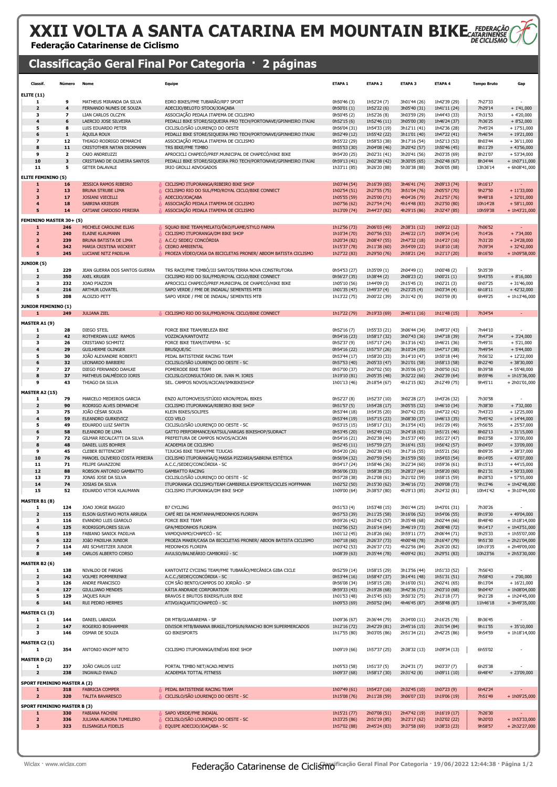# XXII VOLTA A SANTA CATARINA EM MOUNTAIN BIKE FEDERACÃO

Federação Catarinense de Ciclismo

### Classificação Geral Final Por Categoria · 2 páginas

| <b>Classif.</b>                    | Número               | Nome                                                     | Equipe                                                                      | <b>ETAPA 1</b>               | <b>ETAPA 2</b>               | ETAPA <sub>3</sub>           | <b>ETAPA 4</b>               | <b>Tempo Bruto</b> | Gap                           |
|------------------------------------|----------------------|----------------------------------------------------------|-----------------------------------------------------------------------------|------------------------------|------------------------------|------------------------------|------------------------------|--------------------|-------------------------------|
| <b>ELITE (11)</b>                  |                      |                                                          |                                                                             |                              |                              |                              |                              |                    |                               |
| 1                                  | 9                    | MATHEUS MIRANDA DA SILVA                                 | EDRO BIKES/FME TUBARÃO/RP7 SPORT                                            | 0h50'46 (3)                  | 1h52'24 (7)                  | 3h01'44 (26)                 | 1h42'39 (29)                 | 7h27'33            |                               |
| $\overline{2}$                     | $\ddot{\phantom{a}}$ | FERNANDO NUNES DE SOUZA                                  | ADECIJO/BELOTO STOCK/JOAÇABA                                                | 0h50'01 (1)                  | 1h52'22 (6)                  | 3h05'40 (31)                 | 1h41'11 (24)                 | 7h29'14            | $+1'41,000$                   |
| з                                  | 7                    | LIAN CARLOS OLCZYK                                       | ASSOCIAÇÃO PEDALA ITAPEMA DE CICLISMO                                       | 0h50'45 (2)                  | 1h52'26 (8)                  | 3h03'59 (29)                 | 1h44'43 (33)                 | 7h31'53            | $+4'20,000$                   |
| $\overline{\mathbf{A}}$            | 6                    | LAERCIO JOSE SILVEIRA                                    | PEDALLI BIKE STORE/SIQUEIRA PRO TECH/PORTONAVE/GPINHEIRO ITAJAI             | 0h52'15 (6)                  | 1h52'46 (11)                 | 3h05'00 (30)                 | 1h46'24 (37)                 | 7h36'25            | $+8'52,000$                   |
| 5                                  | 8                    | LUIS EDUARDO PETER                                       | CICLISLO/SÃO LOURENÇO DO OESTE                                              | 0h56'04 (31)                 | 1h54'33 (19)                 | 3h12'11 (41)                 | 1h42'36 (28)                 | 7h45'24            | $+ 17'51,000$                 |
| 6                                  | 1                    | <b>AQUILA ROUX</b>                                       | PEDALLI BIKE STORE/SIQUEIRA PRO TECH/PORTONAVE/GPINHEIRO ITAJAI             | 0h52'49 (12)                 | 1h55'42 (22)                 | 3h11'01 (40)                 | 1h47'22 (41)                 | 7h46'54            | $+ 19'21,000$                 |
| $\overline{\phantom{a}}$           | 12                   | THIAGO RODRIGO DEMARCHI                                  | ASSOCIAÇÃO PEDALA ITAPEMA DE CICLISMO                                       | 0h55'22 (29)                 | 1h58'53 (38)                 | 3h17'16 (54)                 | 1h52'13 (53)                 | 8h03'44            | $+36'11,000$                  |
| 8<br>9                             | 11<br>$\mathbf{2}$   | CRISTOTHER NATAN DICKMANN<br>CAIO ANDREUZZI              | TRS BIKE/FME TIMBO<br>APROCICLI CHAPECÓ/PREF.MUNICIPAL DE CHAPECÓ/HIKE BIKE | 0h55'53 (30)<br>0h54'20 (25) | 2h04'08 (46)<br>2h02'31 (41) | 3h20'42 (57)<br>3h20'41 (56) | 1h50'46 (45)<br>2h03'35 (69) | 8h11'29<br>8h21'07 | $+43'56,000$<br>$+ 53'34,000$ |
| 10                                 | 3                    | CRISTIANO DE OLIVEIRA SANTOS                             | PEDALLI BIKE STORE/SIQUEIRA PRO TECH/PORTONAVE/GPINHEIRO ITAJAI             | 0h59'13 (41)                 | 2h02'38 (42)                 | 3h30'05 (65)                 | 2h02'48 (67)                 | 8h34'44            | $+ 1h07'11,000$               |
| 11                                 | 5                    | <b>GETER DALAVALE</b>                                    | IRIO GROLLI ADVOGADOS                                                       | 1h33'11 (85)                 | 3h26'20 (88)                 | 5h30'38 (88)                 | 3h06'05 (88)                 | 13h36'14           | $+ 6h08'41,000$               |
|                                    |                      |                                                          |                                                                             |                              |                              |                              |                              |                    |                               |
| <b>ELITE FEMININO (5)</b><br>1     | 16                   |                                                          | CICLISMO ITUPORANGA/RIBEIRO BIKE SHOP                                       |                              |                              |                              | 2h09'13 (74)                 | 9h16'17            |                               |
| $\overline{\mathbf{z}}$            | 13                   | <b>JESSICA RAMOS RIBEIRO</b><br><b>BRUNA STRUBE LIMA</b> | CICLISMO RIO DO SUL/FMD/ROYAL CICLO/BIKE CONNECT                            | 1h03'44 (54)<br>1h02'54 (51) | 2h16'39 (65)<br>2h27'55 (75) | 3h46'41 (74)<br>3h51'04 (76) | 2h05'57 (70)                 | 9h27'50            | $+11'33,000$                  |
| $\overline{\mathbf{3}}$            | 17                   | <b>JOSIANI VIECELLI</b>                                  | ADECIJO/JOAÇABA                                                             | 1h05'55 (59)                 | 2h25'00 (71)                 | 4h04'26 (79)                 | 2h12'57 (76)                 | 9h48'18            | $+32'01,000$                  |
| 4                                  | 18                   | <b>SABRINA KRIEGER</b>                                   | ASSOCIAÇÃO PEDALA ITAPEMA DE CICLISMO                                       | 1h07'56 (62)                 | 2h27'54 (74)                 | 4h14'48 (83)                 | 2h23'50 (80)                 | 10h14'28           | $+58'11,000$                  |
| 5                                  | 14                   | CATIANE CARDOSO PEREIRA                                  | ASSOCIAÇÃO PEDALA ITAPEMA DE CICLISMO                                       | 1h13'09 (74)                 | 2h44'27 (82)                 | 4h29'15 (86)                 | 2h32'47 (85)                 | 10h59'38           | +1h43'21,000                  |
| <b>FEMININO MASTER 30+ (5)</b>     |                      |                                                          |                                                                             |                              |                              |                              |                              |                    |                               |
| 1                                  | 246                  | MICHELE CAROLINE ELIAS                                   | SQUAD BIKE TEAM/MELATO/ÔKO/FLAME/STYLO FARMA                                | 1h12'56 (73)                 | 2h06'03 (49)                 | 2h38'31 (12)                 | 1h09'22 (12)                 | 7h06'52            |                               |
| $\overline{2}$                     | 240                  | <b>ELAINE KLAUMANN</b>                                   | CICLISMO ITUPORANGA/DM BIKE SHOP                                            | 1h10'34 (70)                 | 2h07'56 (53)                 | 2h46'22 (17)                 | 1h09'34 (14)                 | 7h14'26            | $+7'34,000$                   |
|                                    | 239                  | BRUNA BATISTA DE LIMA                                    | A.C.C/ SEDEC/ CONCÓRDIA                                                     | 1h20'34 (82)                 | 2h08'47 (55)                 | 2h47'32 (18)                 | 1h14'27 (16)                 | 7h31'20            | $+ 24'28,000$                 |
|                                    | 342                  | MARIA CRISTINA WICKERT                                   | <b>CEDRO AMBIENTAL</b>                                                      | 1h15'37 (78)                 | 2h11'38 (60)                 | 2h54'09 (22)                 | 1h18'10 (18)                 | 7h39'34            | $+32'42,000$                  |
| 5                                  | 245                  | LUCIANE NITZ PADILHA                                     | PROEZA VÍDEO/CASA DA BICICLETAS PRONER/ ABDOM BATISTA CICLISMO              | 1h27'22 (83)                 | 2h29'50 (76)                 | 2h58'21 (24)                 | 1h21'17 (20)                 | 8h16'50            | + 1h09'58,000                 |
|                                    |                      |                                                          |                                                                             |                              |                              |                              |                              |                    |                               |
| <b>JUNIOR (5)</b><br>1             | 229                  | JEAN GUERRA DOS SANTOS GUERRA                            | TRS RACE/FME TIMBÓ/JJJ SANTOS/TERRA NOVA CONSTRUTORA                        |                              | 1h35'09 (1)                  |                              |                              | 5h35'39            |                               |
| $\overline{2}$                     | 350                  | AXEL KRUGER                                              | CICLISMO RIO DO SUL/FMD/ROYAL CICLO/BIKE CONNECT                            | 0h54'53 (27)<br>0h56'27 (35) | 1h38'44 (2)                  | 2h04'49 (1)<br>2h08'23 (2)   | 1h00'48 (2)<br>1h00'21 (1)   | 5h43'55            | $+8'16,000$                   |
| з                                  | 232                  | JOAO PIAZZON                                             | APROCICLI CHAPECO/PREF.MUNICIPAL DE CHAPECO/HIKE BIKE                       | 1h05'10 (56)                 | 1h44'09 (3)                  | 2h15'45 (3)                  | 1h02'21 (3)                  | 6h07'25            | $+31'46,000$                  |
| $\overline{\mathbf{A}}$            | 216                  | ARTHUR LOVATEL                                           | SAPO VERDE / FME DE INDAIAL/ SEMENTES MTB                                   | 1h01'35 (47)                 | 1h49'37 (4)                  | 2h23'25 (4)                  | 1h03'34 (4)                  | 6h18'11            | $+42'32,000$                  |
| 5                                  | 208                  | ALOIZIO PETT                                             | SAPO VERDE / FME DE INDAIAL/ SEMENTES MTB                                   | 1h13'22 (75)                 | 2h00'22 (39)                 | 2h31'42 (9)                  | 1h03'59 (8)                  | 6h49'25            | $+ 1h13'46,000$               |
| <b>JUNIOR FEMININO (1)</b>         |                      |                                                          |                                                                             |                              |                              |                              |                              |                    |                               |
|                                    |                      |                                                          |                                                                             |                              |                              |                              |                              |                    |                               |
| 1                                  | 249                  | <b>JULIANA ZIEL</b>                                      | CICLISMO RIO DO SUL/FMD/ROYAL CICLO/BIKE CONNECT                            | 1h17'22 (79)                 | 2h19'33 (69)                 | 2h46'11 (16)                 | 1h11'48 (15)                 | 7h34'54            |                               |
| <b>MASTER A1 (9)</b>               |                      |                                                          |                                                                             |                              |                              |                              |                              |                    |                               |
| 1                                  | 28                   | DIEGO STEIL                                              | FORCE BIKE TEAM/BELEZA BIKE                                                 | 0h52'16 (7)                  | 1h55'33 (21)                 | 3h06'44 (34)                 | 1h49'37 (43)                 | 7h44'10            |                               |
| $\overline{\mathbf{2}}$            | 42                   | ROTHERDAN LUIZ RAMOS                                     | VOZZACA/KANTOVITZ                                                           | 0h54'16 (23)                 | 1h58'17 (32)                 | 3h07'43 (36)                 | 1h47'18 (39)                 | 7h47'34            | $+3'24,000$                   |
| 3                                  | 26                   | CRISTIANO SCHMITZ                                        | FORCE BIKE TEAM/ITAPEMA - SC                                                | 0h52'37 (9)                  | 1h57'17 (24)                 | 3h13'16 (42)                 | 1h46'21 (36)                 | 7h49'31            | $+5'21,000$                   |
| 4                                  | 29                   | <b>GUILHERME OLINGER</b>                                 | <b>BRUSQUE/SC</b>                                                           | 0h54'16 (22)                 | 1h57'57 (26)                 | 3h10'24 (39)                 | 1h47'17 (38)                 | 7h49'54            | $+5'44,000$                   |
| 5                                  | 30                   | JOÃO ALEXANDRE ROBERTI                                   | PEDAL BATISTENSE RACING TEAM                                                | 0h53'44 (17)                 | 1h58'20 (33)                 | 3h14'10 (47)                 | 1h50'18 (44)                 | 7h56'32            | $+ 12'22,000$                 |
| 6                                  | 32                   | LEONARDO BARBIERI                                        | CICLISLO/SÃO LOURENÇO DO OESTE - SC                                         | 0h57'53 (40)                 | 2h05'33 (47)                 | 3h21'01 (58)                 | 1h58'13 (58)                 | 8h22'40            | $+38'30,000$                  |
| $\overline{\mathbf{z}}$            | 27                   | DIEGO FERNANDO DAHLKE                                    | POMERODE BIKE TEAM                                                          | 0h57'00 (37)                 | 2h07'02 (50)                 | 3h35'06 (67)                 | 2h00'50 (62)                 | 8h39'58            | $+55'48,000$                  |
| 8<br>9                             | 37<br>43             | MATHEUS DALMÉDICO IORIS                                  | CICLISLO/CONSULTORIO DR. IVAN M. IORIS                                      | 1h19'10 (81)                 | 2h05'35 (48)                 | 3h32'22 (66)                 | 2h02'39 (64)                 | 8h59'46            | $+ 1h15'36,000$               |
|                                    |                      | THIAGO DA SILVA                                          | SEL. CAMPOS NOVOS/ACICAN/SMKBIKESHOP                                        | 1h01'13 (46)                 | 2h18'54 (67)                 | 4h12'15 (82)                 | 2h12'49 (75)                 | 9h45'11            | +2h01'01,000                  |
| <b>MASTER A2 (15)</b>              |                      |                                                          |                                                                             |                              |                              |                              |                              |                    |                               |
| 1                                  | 79                   | MARCELO MEDEIROS GARCIA                                  | ENZO AUTOMOVEIS/STÚDIO KRON/PEDAL BIKES                                     | 0h52'27 (8)                  | 1h52'37 (10)                 | 3h02'28 (27)                 | 1h43'26 (32)                 | 7h30'58            |                               |
| $\overline{2}$                     | 90                   | RODRIGO ALVES DEMARCHE                                   | CICLISMO ITUPORANGA/RIBEIRO BIKE SHOP                                       | 0h51'57 (5)                  | 1h54'28 (17)                 | 3h05'55 (32)                 | 1h46'10 (34)                 | 7h38'30            | $+7'32,000$                   |
| з                                  | 75                   | JOÃO CÉSAR SOUZA                                         | KLEIN BIKES/SOLIFES                                                         | 0h53'44 (18)                 | 1h54'35 (20)                 | 3h07'42 (35)                 | 1h47'22 (42)                 | 7h43'23            | $+12'25,000$                  |
| $\overline{\mathbf{A}}$            | 59                   | ELEANDRO GURKEVICZ                                       | CCO VELO                                                                    | 0h53'44 (19)                 | 1h57'15 (23)                 | 3h08'30 (37)                 | 1h46'13 (35)                 | 7h45'42            | $+ 14'44,000$                 |
| 5                                  | 49                   | EDUARDO LUIZ SANTIN                                      | CICLISLO/SÃO LOURENÇO DO OESTE - SC                                         | 0h53'15 (15)                 | 1h58'17 (31)                 | 3h13'54 (43)                 | 1h51'29 (49)                 | 7h56'55            | $+25'57,000$                  |
| 6                                  | 58                   | ELEANDRO DE LIMA                                         | GATTO PERFORMANCE/KATSUL/VARGAS BIKESHOP/SUDRACT                            | 0h53'45 (20)                 | 1h52'49 (12)                 | 3h24'18 (63)                 | 1h51'21 (46)                 | 8h02'13            | $+31'15,000$                  |
| $\overline{\phantom{a}}$           | 72                   | GILMAR RECALCATTI DA SILVA                               | PREFEITURA DE CAMPOS NOVOS/ACICAN                                           | 0h54'16 (21)                 | 2h02'38 (44)                 | 3h15'37 (49)                 | 1h51'27 (47)                 | 8h03'58            | $+33'00,000$                  |
| 8<br>9                             | 48<br>45             | DANIEL LUIS BOHRER<br><b>CLEBER BITTENCORT</b>           | ACADEMIA DE CICLISMO<br>TIJUCAS BIKE TEAM/FME TIJUCAS                       | 0h52'45 (11)<br>0h54'20 (26) | 1h57'59 (27)<br>2h02'38 (43) | 3h16'41 (53)<br>3h17'16 (55) | 1h56'42 (57)<br>1h55'21 (56) | 8h04'07<br>8h09'35 | $+33'09,000$<br>$+38'37,000$  |
| 10                                 | 76                   | MANOEL OLIVERIO COSTA PEREIRA                            | CICLISMO ITUPORANGA/Q MASSA PIZZARIA/SABRINA ESTÉTICA                       | 0h56'04 (32)                 | 2h07'59 (54)                 | 3h15'59 (50)                 | 1h54'03 (54)                 | 8h14'05            | $+43'07,000$                  |
| 11                                 | 71                   | FELIPE GAVAZZONI                                         | A.C.C./SEDEC/CONCÓRDIA - SC                                                 | 0h54'17 (24)                 | 1h58'46 (36)                 | 3h22'34 (60)                 | 1h59'36 (61)                 | 8h15'13            | $+44'15,000$                  |
| 12                                 | 88                   | ROBSON ANTONIO GAMBATTO                                  | <b>GAMBATTO RACING</b>                                                      | 0h56'06 (33)                 | 1h58'38 (35)                 | 3h28'27 (64)                 | 1h58'20 (60)                 | 8h21'31            | $+50'33,000$                  |
| 13                                 | 73                   | JONAS JOSE DA SILVA                                      | CICLISLO/SÃO LOURENÇO DO OESTE - SC                                         | 0h57'28 (38)                 | 2h12'08 (61)                 | 3h21'02 (59)                 | 1h58'15 (59)                 | 8h28'53            | $+57'55,000$                  |
| 14                                 | 74                   | JOSIAS DA SILVA                                          | ITUPORANGA CICLISMO/TEAM CAMBIRELA ESPORTES/CICLES HOFFMANN                 | 1h02'52 (50)                 | 2h15'30 (62)                 | 3h46'16 (72)                 | 2h09'08 (73)                 | 9h13'46            | $+ 1h42'48,000$               |
| 15                                 | 52                   | EDUARDO VITOR KLAUMANN                                   | CICLISMO ITUPORANGA/DM BIKE SHOP                                            | 1h09'00 (64)                 | 2h38'57 (80)                 | 4h29'13 (85)                 | 2h24'32 (81)                 | 10h41'42           | +3h10'44,000                  |
| MASTER B1 (8)                      |                      |                                                          |                                                                             |                              |                              |                              |                              |                    |                               |
| 1                                  | 124                  | JOAO JORGE BAGGIO                                        | <b>B7 CYCLING</b>                                                           | 0h51'53 (4)                  | 1h53'48 (15)                 | 3h01'44 (25)                 | 1h43'01 (31)                 | 7h30'26            |                               |
| $\overline{2}$                     | 115                  | ELSON GUSTAVO MOTA ARRUDA                                | CAFÉ REI DA MONTANHA/MEDONHOS FLORIPA                                       | 0h57'53 (39)                 | 2h11'25 (58)                 | 3h16'06 (52)                 | 1h54'06 (55)                 | 8h19'30            | $+49'04,000$                  |
| 3                                  | 116                  | EVANDRO LUIS GIAROLO                                     | FORCE BIKE TEAM                                                             | 0h59'26 (42)                 | 2h10'42 (57)                 | 3h35'48 (68)                 | 2h02'44 (66)                 | 8h48'40            | $+ 1h18'14,000$               |
| 4                                  | 125                  | RODRIGOFLORES SILVA                                      | GPA/MEDONHOS FLORIPA                                                        | 1h02'56 (52)                 | 2h16'14 (64)                 | 3h46'19 (73)                 | 2h08'48 (72)                 | 9h14'17            | $+ 1h43'51,000$               |
| 5                                  | 119                  | FABIANO SANICK PADILHA                                   | VAMOQVAMO/CHAPECÓ - SC                                                      | 1h01'12 (45)                 | 2h18'26 (66)                 | 3h59'11 (77)                 | 2h06'44 (71)                 | 9h25'33            | + 1h55'07,000                 |
| 6                                  | 122                  | JOÃO PADILHA JUNIOR                                      | PROEZA MAKER/CASA DA BICICLETAS PRONER/ ABDON BATISTA CICLISMO              | 1h07'18 (60)                 | 2h26'37 (73)                 | 4h00'48 (78)                 | 2h16'47 (79)                 | 9h51'30            | + 2h21'04,000                 |
| 7                                  | 114                  | ARI SCHVEITZER JUNIOR                                    | MEDONHOS FLORIPA                                                            | 1h03'42 (53)                 | 2h26'37 (72)                 | 4h22'56 (84)                 | 2h26'20 (82)                 | 10h19'35           | +2h49'09,000                  |
| 8                                  | 149                  | CARLOS ALBERTO CORSO                                     | AVULSO/BALNEÁRIO CAMBORIÚ - SC                                              | 1h08'39 (63)                 | 2h35'44 (78)                 | 4h09'42 (81)                 | 2h29'51 (83)                 | 10h23'56           | + 2h53'30,000                 |
| <b>MASTER B2 (6)</b>               |                      |                                                          |                                                                             |                              |                              |                              |                              |                    |                               |
| 1                                  | 138                  | NIVALDO DE FARIAS                                        | KANTOVITZ CYCIING TEAM/FME TUBARÃO/MECÂNICA GIBA CICLE                      | 0h52'59 (14)                 | 1h58'15 (29)                 | 3h13'56 (44)                 | 1h51'33 (52)                 | 7h56'43            |                               |
| $\overline{2}$                     | 142                  | <b>VOLMEI POMMERENKE</b>                                 | A.C.C./SEDEC/CONCÓRDIA - SC                                                 | 0h53'44 (16)                 | 1h58'47 (37)                 | 3h14'41 (48)                 | 1h51'31 (51)                 | 7h58'43            | $+2'00,000$                   |
| з                                  | 126                  | ANDRE FRANCISCO                                          | CCM SÃO BENTO/CAMPOS DO JORDÃO - SP                                         | 0h56'08 (34)                 | 1h58'15 (28)                 | 3h16'00 (51)                 | 2h02'41 (65)                 | 8h13'04            | $+16'21,000$                  |
| $\overline{\mathbf{4}}$            | 127                  | <b>GIULLIANO MENDES</b>                                  | KÁTIA ANDRADE CORPORATION                                                   | 0h59'33 (43)                 | 2h19'28 (68)                 | 3h42'36 (71)                 | 2h03'10 (68)                 | 9h04'47            | $+ 1h08'04,000$               |
| 5                                  | 129                  | <b>JAQUES RAUH</b>                                       | BRAVOS E BRUTOS BIKERS/FLUIR BIKE                                           | 1h01'53 (48)                 | 2h15'45 (63)                 | 3h50'32 (75)                 | 2h13'18 (77)                 | 9h21'28            | $+ 1h24'45,000$               |
| 6                                  | 141                  | RUI PEDRO HERMES                                         | ATIVO/AQUATIC/CHAPECÓ - SC                                                  | 1h09'53 (69)                 | 2h50'52 (84)                 | 4h46'45 (87)                 | 2h58'48 (87)                 | 11h46'18           | +3h49'35,000                  |
| <b>MASTER C1 (3)</b>               |                      |                                                          |                                                                             |                              |                              |                              |                              |                    |                               |
| 1                                  | 144                  | DANIEL LABADIA                                           | DR MTB/GUARAREMA - SP                                                       | 1h09'36 (67)                 | 2h36'44 (79)                 | 2h34'00 (11)                 | 2h16'25 (78)                 | 8h36'45            |                               |
| $\overline{2}$                     | 147                  | ROGERIO BOSHAMMER                                        | DIVISOR MTB/BANANA BRASIL/TOPSUN/RANCHO BOM SUPERMERCADOS                   | 1h12'16 (72)                 | 2h42'29 (81)                 | 2h45'16 (15)                 | 2h31'54 (84)                 | 9h11'55            | $+35'10,000$                  |
| з                                  | 146                  | OSMAR DE SOUZA                                           | <b>GO BIKESPORTS</b>                                                        | 1h17'55 (80)                 | 3h03'05 (86)                 | 2h51'34 (21)                 | 2h42'25 (86)                 | 9h54'59            | $+ 1h18'14,000$               |
| <b>MASTER C2 (1)</b>               |                      |                                                          |                                                                             |                              |                              |                              |                              |                    |                               |
| 1                                  | 354                  | ANTONIO KNOPF NETO                                       | CICLISMO ITUPORANGA/ENÉIAS BIKE SHOP                                        | 1h09'19 (66)                 | 1h57'37 (25)                 | 2h38'32 (13)                 | 1h09'34 (13)                 | 6h55'02            |                               |
|                                    |                      |                                                          |                                                                             |                              |                              |                              |                              |                    |                               |
| <b>MASTER D (2)</b>                |                      |                                                          |                                                                             |                              |                              |                              |                              |                    |                               |
| 1<br>$\overline{2}$                | 237<br>238           | JOÃO CARLOS LUIZ<br>INGWALD EWALD                        | PORTAL TIMBO NET/ACAD.MENFIS<br>ACADEMIA TOTTAL FITNESS                     | 1h05'53 (58)<br>1h09'37 (68) | 1h51'37 (5)<br>1h58'17 (30)  | 2h24'31 (7)<br>2h31'42 (8)   | 1h03'37 (7)<br>1h09'11 (10)  | 6h25'38<br>6h48'47 | $+23'09,000$                  |
|                                    |                      |                                                          |                                                                             |                              |                              |                              |                              |                    |                               |
| <b>SPORT FEMININO MASTER A (2)</b> |                      |                                                          |                                                                             |                              |                              |                              |                              |                    |                               |
| $\mathbf{1}$                       | 318                  | <b>FABRICIA COMPER</b>                                   | PEDAL BATISTENSE RACING TEAM                                                | 1h07'49 (61)                 | 1h54'27 (16)                 | 2h32'45 (10)                 | 1h07'23 (9)                  | 6h42'24            |                               |
| $\overline{2}$                     | 320                  | <b>TALITA BAVARESCO</b>                                  | CICLISLO/SÃO LOURENÇO DO OESTE - SC                                         | 1h15'08 (76)                 | 2h11'28 (59)                 | 3h06'07 (33)                 | 1h19'06 (19)                 | 7h51'49            | $+ 1h09'25,000$               |
| <b>SPORT FEMININO MASTER B (3)</b> |                      |                                                          |                                                                             |                              |                              |                              |                              |                    |                               |
| ${\bf 1}$                          | 330                  | FABIANA FACHINI                                          | SAPO VERDE/FME INDAIAL<br>흥                                                 | 1h15'21 (77)                 | 2h07'08 (51)                 | 2h47'42 (19)                 | 1h16'19 (17)                 | 7h26'30            |                               |
| $\overline{2}$                     | 336                  | JULIANA AURORA TUMELERO                                  | CICLISLO/SÃO LOURENÇO DO OESTE - SC                                         | 1h33'25 (86)                 | 2h51'19 (85)                 | 3h23'17 (62)                 | 1h32'02 (22)                 | 9h20'03            | $+ 1h53'33,000$               |
| $\mathbf{3}$                       | 323                  | ELISANGELA FIDELIS                                       | EQUIPE ADECIJO/JOAÇABA - SC                                                 | 1h57'02 (88)                 | 2h45'24 (83)                 | 3h37'58 (69)                 | 1h38'33 (23)                 | 9h58'57            | + 2h32'27,000                 |
|                                    |                      |                                                          |                                                                             |                              |                              |                              |                              |                    |                               |

Wiclax · www.wiclax.com **Classifica** Catarinense de Ciclismo<sup>ricação Geral Final Por Categoria · 19/06/2022 12:44:38 · Página 1/2</sup>